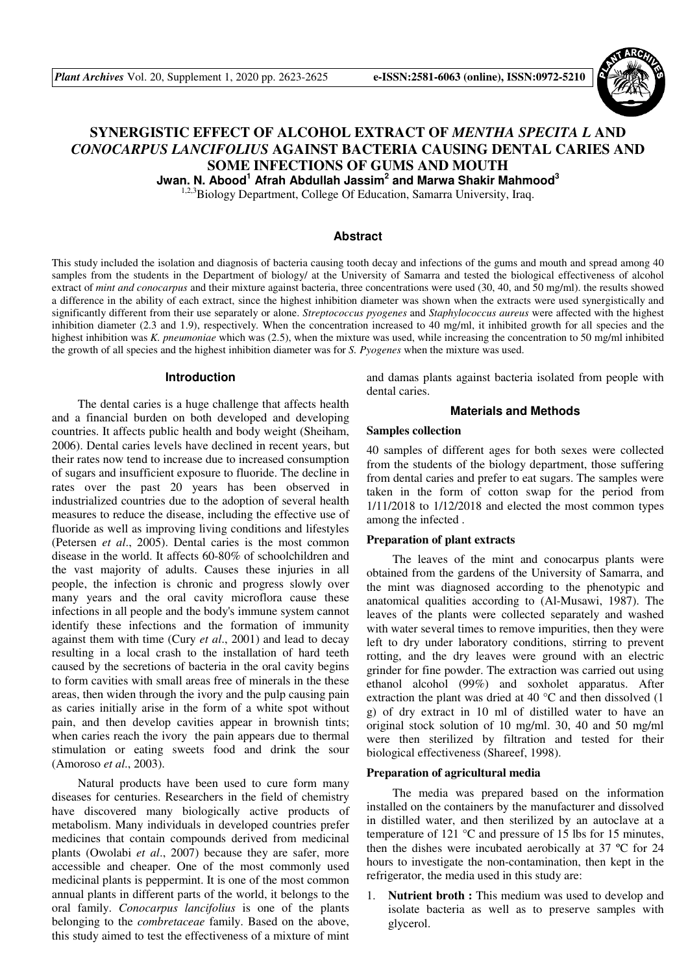

# **SYNERGISTIC EFFECT OF ALCOHOL EXTRACT OF** *MENTHA SPECITA L* **AND**  *CONOCARPUS LANCIFOLIUS* **AGAINST BACTERIA CAUSING DENTAL CARIES AND SOME INFECTIONS OF GUMS AND MOUTH**

**Jwan. N. Abood<sup>1</sup> Afrah Abdullah Jassim<sup>2</sup> and Marwa Shakir Mahmood<sup>3</sup>**

<sup>1,2,3</sup>Biology Department, College Of Education, Samarra University, Iraq.

#### **Abstract**

This study included the isolation and diagnosis of bacteria causing tooth decay and infections of the gums and mouth and spread among 40 samples from the students in the Department of biology/ at the University of Samarra and tested the biological effectiveness of alcohol extract of *mint and conocarpus* and their mixture against bacteria, three concentrations were used (30, 40, and 50 mg/ml). the results showed a difference in the ability of each extract, since the highest inhibition diameter was shown when the extracts were used synergistically and significantly different from their use separately or alone. *Streptococcus pyogenes* and *Staphylococcus aureus* were affected with the highest inhibition diameter (2.3 and 1.9), respectively. When the concentration increased to 40 mg/ml, it inhibited growth for all species and the highest inhibition was *K. pneumoniae* which was (2.5), when the mixture was used, while increasing the concentration to 50 mg/ml inhibited the growth of all species and the highest inhibition diameter was for *S. Pyogenes* when the mixture was used.

#### **Introduction**

The dental caries is a huge challenge that affects health and a financial burden on both developed and developing countries. It affects public health and body weight (Sheiham, 2006). Dental caries levels have declined in recent years, but their rates now tend to increase due to increased consumption of sugars and insufficient exposure to fluoride. The decline in rates over the past 20 years has been observed in industrialized countries due to the adoption of several health measures to reduce the disease, including the effective use of fluoride as well as improving living conditions and lifestyles (Petersen *et al*., 2005). Dental caries is the most common disease in the world. It affects 60-80% of schoolchildren and the vast majority of adults. Causes these injuries in all people, the infection is chronic and progress slowly over many years and the oral cavity microflora cause these infections in all people and the body's immune system cannot identify these infections and the formation of immunity against them with time (Cury *et al*., 2001) and lead to decay resulting in a local crash to the installation of hard teeth caused by the secretions of bacteria in the oral cavity begins to form cavities with small areas free of minerals in the these areas, then widen through the ivory and the pulp causing pain as caries initially arise in the form of a white spot without pain, and then develop cavities appear in brownish tints; when caries reach the ivory the pain appears due to thermal stimulation or eating sweets food and drink the sour (Amoroso *et al*., 2003).

Natural products have been used to cure form many diseases for centuries. Researchers in the field of chemistry have discovered many biologically active products of metabolism. Many individuals in developed countries prefer medicines that contain compounds derived from medicinal plants (Owolabi *et al*., 2007) because they are safer, more accessible and cheaper. One of the most commonly used medicinal plants is peppermint. It is one of the most common annual plants in different parts of the world, it belongs to the oral family. *Conocarpus lancifolius* is one of the plants belonging to the *combretaceae* family. Based on the above, this study aimed to test the effectiveness of a mixture of mint

and damas plants against bacteria isolated from people with dental caries.

## **Materials and Methods**

## **Samples collection**

40 samples of different ages for both sexes were collected from the students of the biology department, those suffering from dental caries and prefer to eat sugars. The samples were taken in the form of cotton swap for the period from 1/11/2018 to 1/12/2018 and elected the most common types among the infected .

## **Preparation of plant extracts**

The leaves of the mint and conocarpus plants were obtained from the gardens of the University of Samarra, and the mint was diagnosed according to the phenotypic and anatomical qualities according to (Al-Musawi, 1987). The leaves of the plants were collected separately and washed with water several times to remove impurities, then they were left to dry under laboratory conditions, stirring to prevent rotting, and the dry leaves were ground with an electric grinder for fine powder. The extraction was carried out using ethanol alcohol (99%) and soxholet apparatus. After extraction the plant was dried at 40  $^{\circ}$ C and then dissolved (1) g) of dry extract in 10 ml of distilled water to have an original stock solution of 10 mg/ml. 30, 40 and 50 mg/ml were then sterilized by filtration and tested for their biological effectiveness (Shareef, 1998).

### **Preparation of agricultural media**

The media was prepared based on the information installed on the containers by the manufacturer and dissolved in distilled water, and then sterilized by an autoclave at a temperature of 121 °C and pressure of 15 lbs for 15 minutes, then the dishes were incubated aerobically at 37 ºC for 24 hours to investigate the non-contamination, then kept in the refrigerator, the media used in this study are:

1. **Nutrient broth :** This medium was used to develop and isolate bacteria as well as to preserve samples with glycerol.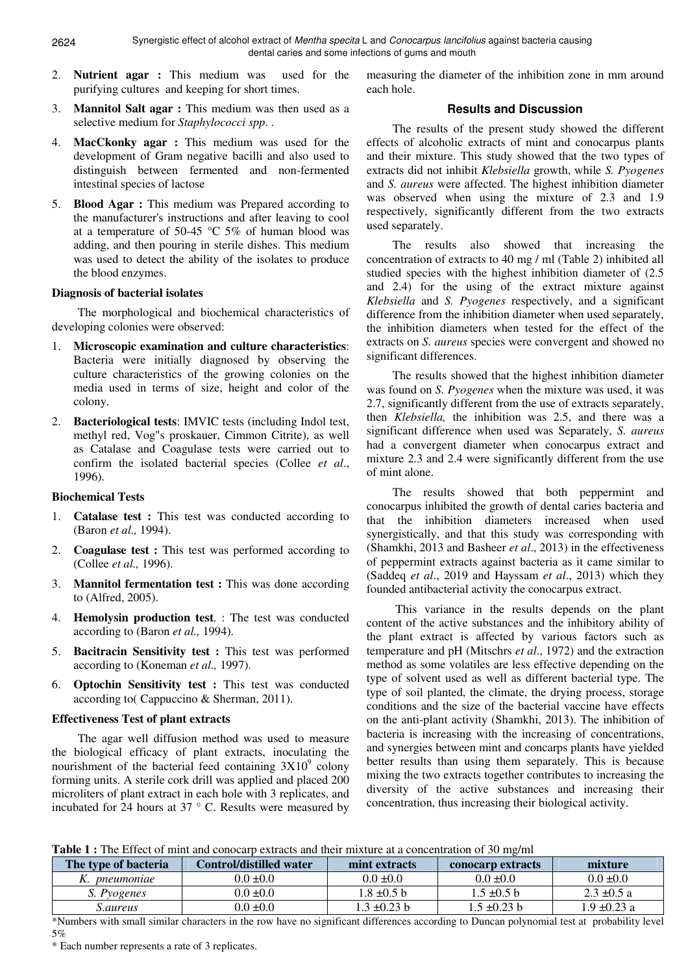- 2. **Nutrient agar :** This medium was used for the purifying cultures and keeping for short times.
- 3. **Mannitol Salt agar :** This medium was then used as a selective medium for *Staphylococci spp*. .
- 4. **MacCkonky agar :** This medium was used for the development of Gram negative bacilli and also used to distinguish between fermented and non-fermented intestinal species of lactose
- 5. **Blood Agar :** This medium was Prepared according to the manufacturer's instructions and after leaving to cool at a temperature of 50-45  $\degree$ C 5% of human blood was adding, and then pouring in sterile dishes. This medium was used to detect the ability of the isolates to produce the blood enzymes.

## **Diagnosis of bacterial isolates**

The morphological and biochemical characteristics of developing colonies were observed:

- 1. **Microscopic examination and culture characteristics**: Bacteria were initially diagnosed by observing the culture characteristics of the growing colonies on the media used in terms of size, height and color of the colony.
- 2. **Bacteriological tests**: IMVIC tests (including Indol test, methyl red, Vog"s proskauer, Cimmon Citrite), as well as Catalase and Coagulase tests were carried out to confirm the isolated bacterial species (Collee *et al*., 1996).

## **Biochemical Tests**

- 1. **Catalase test :** This test was conducted according to (Baron *et al.,* 1994).
- 2. **Coagulase test :** This test was performed according to (Collee *et al.,* 1996).
- 3. **Mannitol fermentation test :** This was done according to (Alfred, 2005).
- 4. **Hemolysin production test**. : The test was conducted according to (Baron *et al.,* 1994).
- 5. **Bacitracin Sensitivity test :** This test was performed according to (Koneman *et al.,* 1997).
- **Optochin Sensitivity test :** This test was conducted according to( Cappuccino & Sherman, 2011).

## **Effectiveness Test of plant extracts**

The agar well diffusion method was used to measure the biological efficacy of plant extracts, inoculating the nourishment of the bacterial feed containing  $3X10^9$  colony forming units. A sterile cork drill was applied and placed 200 microliters of plant extract in each hole with 3 replicates, and incubated for 24 hours at 37 ° C. Results were measured by

measuring the diameter of the inhibition zone in mm around each hole.

## **Results and Discussion**

The results of the present study showed the different effects of alcoholic extracts of mint and conocarpus plants and their mixture. This study showed that the two types of extracts did not inhibit *Klebsiella* growth, while *S. Pyogenes*  and *S. aureus* were affected. The highest inhibition diameter was observed when using the mixture of 2.3 and 1.9 respectively, significantly different from the two extracts used separately.

The results also showed that increasing the concentration of extracts to 40 mg / ml (Table 2) inhibited all studied species with the highest inhibition diameter of (2.5 and 2.4) for the using of the extract mixture against *Klebsiella* and *S. Pyogenes* respectively, and a significant difference from the inhibition diameter when used separately, the inhibition diameters when tested for the effect of the extracts on *S. aureus* species were convergent and showed no significant differences.

The results showed that the highest inhibition diameter was found on *S. Pyogenes* when the mixture was used, it was 2.7, significantly different from the use of extracts separately, then *Klebsiella,* the inhibition was 2.5, and there was a significant difference when used was Separately, *S. aureus* had a convergent diameter when conocarpus extract and mixture 2.3 and 2.4 were significantly different from the use of mint alone.

The results showed that both peppermint and conocarpus inhibited the growth of dental caries bacteria and that the inhibition diameters increased when used synergistically, and that this study was corresponding with (Shamkhi, 2013 and Basheer *et al*., 2013) in the effectiveness of peppermint extracts against bacteria as it came similar to (Saddeq *et al*., 2019 and Hayssam *et al*., 2013) which they founded antibacterial activity the conocarpus extract.

 This variance in the results depends on the plant content of the active substances and the inhibitory ability of the plant extract is affected by various factors such as temperature and pH (Mitschrs *et al*., 1972) and the extraction method as some volatiles are less effective depending on the type of solvent used as well as different bacterial type. The type of soil planted, the climate, the drying process, storage conditions and the size of the bacterial vaccine have effects on the anti-plant activity (Shamkhi, 2013). The inhibition of bacteria is increasing with the increasing of concentrations, and synergies between mint and concarps plants have yielded better results than using them separately. This is because mixing the two extracts together contributes to increasing the diversity of the active substances and increasing their concentration, thus increasing their biological activity.

**Table 1 :** The Effect of mint and conocarp extracts and their mixture at a concentration of 30 mg/ml

| The type of bacteria | Control/distilled water | mint extracts    | <b>conocarp extracts</b> | mixture          |
|----------------------|-------------------------|------------------|--------------------------|------------------|
| K. <i>pneumoniae</i> | $0.0 \pm 0.0$           | $0.0 \pm 0.0$    | $0.0 \pm 0.0$            | $0.0 \pm 0.0$    |
| S. Pyogenes          | $0.0 \pm 0.0$           | $1.8 \pm 0.5$ b  | $1.5 \pm 0.5$ b          | $2.3 \pm 0.5 a$  |
| S.aureus             | $0.0 \pm 0.0$           | $1.3 \pm 0.23$ b | 1.5 ±0.23 b              | $1.9 \pm 0.23$ a |

\*Numbers with small similar characters in the row have no significant differences according to Duncan polynomial test at probability level 5%

\* Each number represents a rate of 3 replicates.